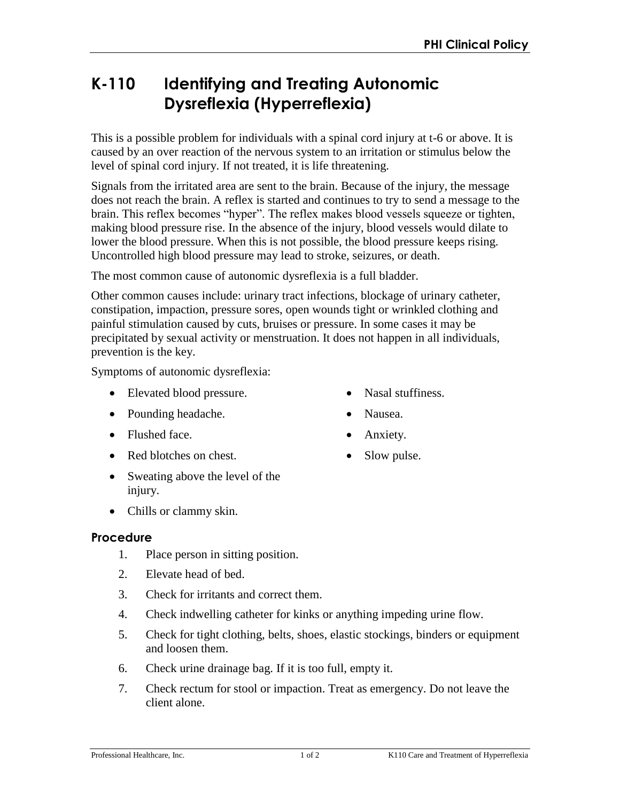## **K-110 Identifying and Treating Autonomic Dysreflexia (Hyperreflexia)**

This is a possible problem for individuals with a spinal cord injury at t-6 or above. It is caused by an over reaction of the nervous system to an irritation or stimulus below the level of spinal cord injury. If not treated, it is life threatening.

Signals from the irritated area are sent to the brain. Because of the injury, the message does not reach the brain. A reflex is started and continues to try to send a message to the brain. This reflex becomes "hyper". The reflex makes blood vessels squeeze or tighten, making blood pressure rise. In the absence of the injury, blood vessels would dilate to lower the blood pressure. When this is not possible, the blood pressure keeps rising. Uncontrolled high blood pressure may lead to stroke, seizures, or death.

The most common cause of autonomic dysreflexia is a full bladder.

Other common causes include: urinary tract infections, blockage of urinary catheter, constipation, impaction, pressure sores, open wounds tight or wrinkled clothing and painful stimulation caused by cuts, bruises or pressure. In some cases it may be precipitated by sexual activity or menstruation. It does not happen in all individuals, prevention is the key.

Symptoms of autonomic dysreflexia:

- Elevated blood pressure.
- Pounding headache.
- Flushed face.
- Red blotches on chest.
- Sweating above the level of the injury.
- Chills or clammy skin.

## **Procedure**

- 1. Place person in sitting position.
- 2. Elevate head of bed.
- 3. Check for irritants and correct them.
- 4. Check indwelling catheter for kinks or anything impeding urine flow.
- 5. Check for tight clothing, belts, shoes, elastic stockings, binders or equipment and loosen them.
- 6. Check urine drainage bag. If it is too full, empty it.
- 7. Check rectum for stool or impaction. Treat as emergency. Do not leave the client alone.
- Nasal stuffiness.
- Nausea.
- Anxiety.
- Slow pulse.